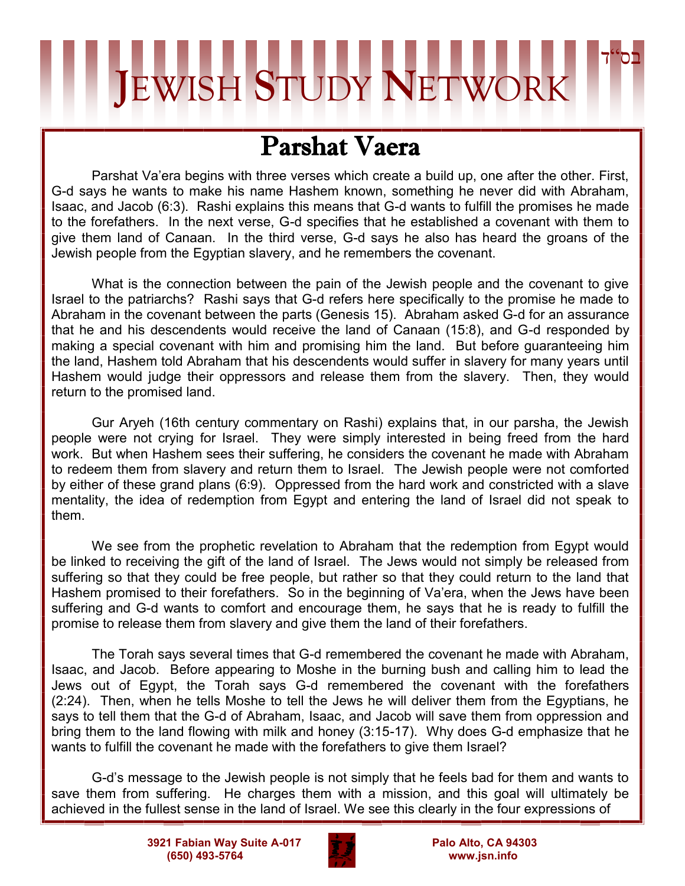## בס"ד **J**EWISH **S**TUDY **N**ETWORK

## Parshat Vaera

Parshat Va'era begins with three verses which create a build up, one after the other. First, G-d says he wants to make his name Hashem known, something he never did with Abraham, Isaac, and Jacob (6:3). Rashi explains this means that G-d wants to fulfill the promises he made to the forefathers. In the next verse, G-d specifies that he established a covenant with them to give them land of Canaan. In the third verse, G-d says he also has heard the groans of the Jewish people from the Egyptian slavery, and he remembers the covenant.

What is the connection between the pain of the Jewish people and the covenant to give Israel to the patriarchs? Rashi says that G-d refers here specifically to the promise he made to Abraham in the covenant between the parts (Genesis 15). Abraham asked G-d for an assurance that he and his descendents would receive the land of Canaan (15:8), and G-d responded by making a special covenant with him and promising him the land. But before guaranteeing him the land, Hashem told Abraham that his descendents would suffer in slavery for many years until Hashem would judge their oppressors and release them from the slavery. Then, they would return to the promised land.

Gur Aryeh (16th century commentary on Rashi) explains that, in our parsha, the Jewish people were not crying for Israel. They were simply interested in being freed from the hard work. But when Hashem sees their suffering, he considers the covenant he made with Abraham to redeem them from slavery and return them to Israel. The Jewish people were not comforted by either of these grand plans (6:9). Oppressed from the hard work and constricted with a slave mentality, the idea of redemption from Egypt and entering the land of Israel did not speak to them.

We see from the prophetic revelation to Abraham that the redemption from Egypt would be linked to receiving the gift of the land of Israel. The Jews would not simply be released from suffering so that they could be free people, but rather so that they could return to the land that Hashem promised to their forefathers. So in the beginning of Va'era, when the Jews have been suffering and G-d wants to comfort and encourage them, he says that he is ready to fulfill the promise to release them from slavery and give them the land of their forefathers.

The Torah says several times that G-d remembered the covenant he made with Abraham, Isaac, and Jacob. Before appearing to Moshe in the burning bush and calling him to lead the Jews out of Egypt, the Torah says G-d remembered the covenant with the forefathers (2:24). Then, when he tells Moshe to tell the Jews he will deliver them from the Egyptians, he says to tell them that the G-d of Abraham, Isaac, and Jacob will save them from oppression and bring them to the land flowing with milk and honey (3:15-17). Why does G-d emphasize that he wants to fulfill the covenant he made with the forefathers to give them Israel?

G-d's message to the Jewish people is not simply that he feels bad for them and wants to save them from suffering. He charges them with a mission, and this goal will ultimately be achieved in the fullest sense in the land of Israel. We see this clearly in the four expressions of